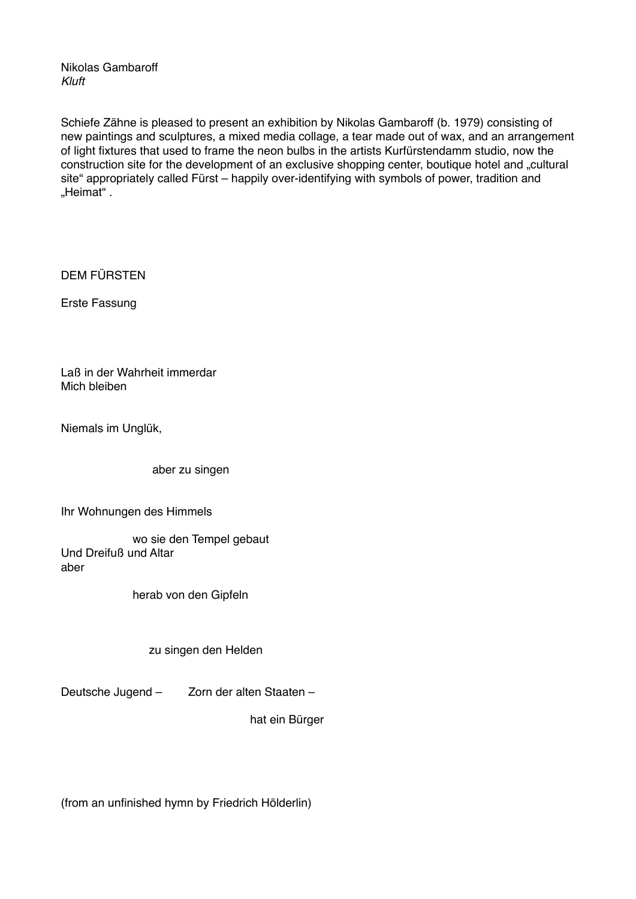Nikolas Gambaroff *Kluft*

Schiefe Zähne is pleased to present an exhibition by Nikolas Gambaroff (b. 1979) consisting of new paintings and sculptures, a mixed media collage, a tear made out of wax, and an arrangement of light fixtures that used to frame the neon bulbs in the artists Kurfürstendamm studio, now the construction site for the development of an exclusive shopping center, boutique hotel and "cultural site" appropriately called Fürst – happily over-identifying with symbols of power, tradition and .Heimat".

DEM FÜRSTEN

Erste Fassung

Laß in der Wahrheit immerdar Mich bleiben

Niemals im Unglük,

aber zu singen

Ihr Wohnungen des Himmels

 wo sie den Tempel gebaut Und Dreifuß und Altar aber

herab von den Gipfeln

zu singen den Helden

Deutsche Jugend – Zorn der alten Staaten –

hat ein Bürger

(from an unfinished hymn by Friedrich Hölderlin)